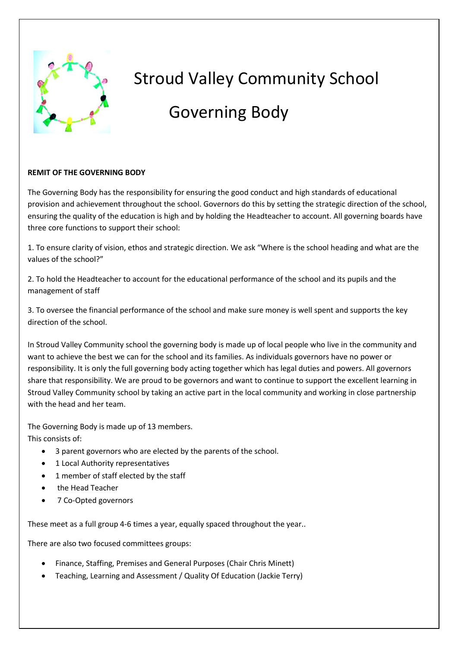

# Stroud Valley Community School

## Governing Body

#### **REMIT OF THE GOVERNING BODY**

The Governing Body has the responsibility for ensuring the good conduct and high standards of educational provision and achievement throughout the school. Governors do this by setting the strategic direction of the school, ensuring the quality of the education is high and by holding the Headteacher to account. All governing boards have three core functions to support their school:

1. To ensure clarity of vision, ethos and strategic direction. We ask "Where is the school heading and what are the values of the school?"

2. To hold the Headteacher to account for the educational performance of the school and its pupils and the management of staff

3. To oversee the financial performance of the school and make sure money is well spent and supports the key direction of the school.

In Stroud Valley Community school the governing body is made up of local people who live in the community and want to achieve the best we can for the school and its families. As individuals governors have no power or responsibility. It is only the full governing body acting together which has legal duties and powers. All governors share that responsibility. We are proud to be governors and want to continue to support the excellent learning in Stroud Valley Community school by taking an active part in the local community and working in close partnership with the head and her team.

The Governing Body is made up of 13 members. This consists of:

- 3 parent governors who are elected by the parents of the school.
- 1 Local Authority representatives
- 1 member of staff elected by the staff
- the Head Teacher
- 7 Co-Opted governors

These meet as a full group 4-6 times a year, equally spaced throughout the year..

There are also two focused committees groups:

- Finance, Staffing, Premises and General Purposes (Chair Chris Minett)
- Teaching, Learning and Assessment / Quality Of Education (Jackie Terry)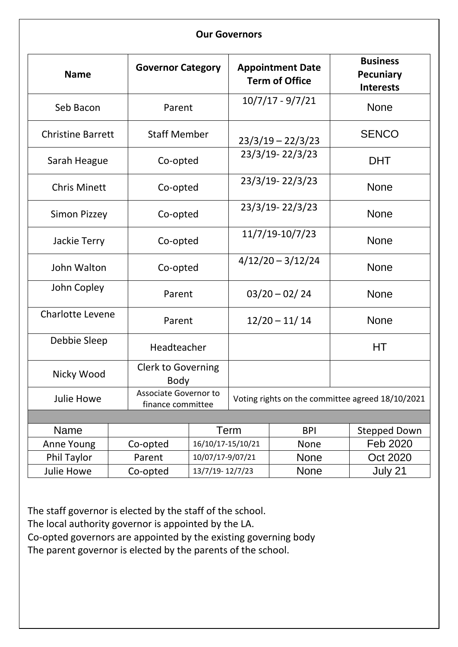#### **Our Governors**

| <b>Name</b>              |          | <b>Governor Category</b>                   |                   | <b>Appointment Date</b><br><b>Term of Office</b> |  | <b>Business</b><br><b>Pecuniary</b><br><b>Interests</b> |  |
|--------------------------|----------|--------------------------------------------|-------------------|--------------------------------------------------|--|---------------------------------------------------------|--|
| Seb Bacon                |          | Parent                                     |                   | $10/7/17 - 9/7/21$                               |  | <b>None</b>                                             |  |
| <b>Christine Barrett</b> |          | <b>Staff Member</b>                        |                   | $23/3/19 - 22/3/23$                              |  | <b>SENCO</b>                                            |  |
| Sarah Heague             |          | Co-opted                                   |                   | 23/3/19-22/3/23                                  |  | <b>DHT</b>                                              |  |
| <b>Chris Minett</b>      |          | Co-opted                                   |                   | 23/3/19-22/3/23                                  |  | <b>None</b>                                             |  |
| <b>Simon Pizzey</b>      |          | Co-opted                                   |                   | 23/3/19-22/3/23                                  |  | <b>None</b>                                             |  |
| Jackie Terry             |          | Co-opted                                   |                   | 11/7/19-10/7/23                                  |  | <b>None</b>                                             |  |
| John Walton              |          | Co-opted                                   |                   | $4/12/20 - 3/12/24$                              |  | <b>None</b>                                             |  |
| John Copley              |          | Parent                                     |                   | $03/20 - 02/24$                                  |  | <b>None</b>                                             |  |
| <b>Charlotte Levene</b>  |          | Parent                                     |                   | $12/20 - 11/14$                                  |  | <b>None</b>                                             |  |
| Debbie Sleep             |          | Headteacher                                |                   |                                                  |  | HТ                                                      |  |
| Nicky Wood               |          | <b>Clerk to Governing</b><br><b>Body</b>   |                   |                                                  |  |                                                         |  |
| Julie Howe               |          | Associate Governor to<br>finance committee |                   | Voting rights on the committee agreed 18/10/2021 |  |                                                         |  |
|                          |          |                                            |                   |                                                  |  |                                                         |  |
| Name                     |          |                                            | Term              | <b>BPI</b>                                       |  | <b>Stepped Down</b>                                     |  |
| Anne Young               | Co-opted |                                            | 16/10/17-15/10/21 | <b>None</b>                                      |  | Feb 2020                                                |  |
| <b>Phil Taylor</b>       | Parent   | 10/07/17-9/07/21                           |                   | <b>None</b>                                      |  | Oct 2020                                                |  |
| <b>Julie Howe</b>        | Co-opted | 13/7/19-12/7/23                            |                   | None                                             |  | July 21                                                 |  |

The staff governor is elected by the staff of the school. The local authority governor is appointed by the LA.

Co-opted governors are appointed by the existing governing body

The parent governor is elected by the parents of the school.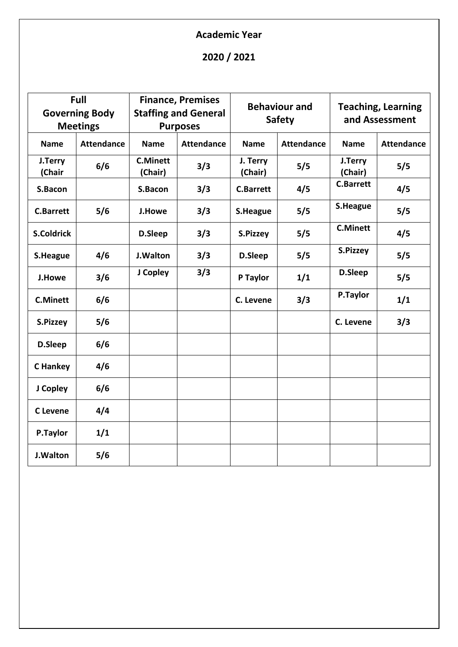### **Academic Year**

### **2020 / 2021**

| Full<br><b>Governing Body</b><br><b>Meetings</b> |                   | <b>Finance, Premises</b><br><b>Staffing and General</b><br><b>Purposes</b> |                   | <b>Behaviour and</b><br><b>Safety</b> |                   | <b>Teaching, Learning</b><br>and Assessment |                   |
|--------------------------------------------------|-------------------|----------------------------------------------------------------------------|-------------------|---------------------------------------|-------------------|---------------------------------------------|-------------------|
| <b>Name</b>                                      | <b>Attendance</b> | <b>Name</b>                                                                | <b>Attendance</b> | <b>Name</b>                           | <b>Attendance</b> | <b>Name</b>                                 | <b>Attendance</b> |
| J.Terry<br>(Chair                                | 6/6               | <b>C.Minett</b><br>(Chair)                                                 | 3/3               | J. Terry<br>(Chair)                   | 5/5               | J.Terry<br>(Chair)                          | 5/5               |
| S.Bacon                                          |                   | S.Bacon                                                                    | 3/3               | <b>C.Barrett</b>                      | 4/5               | <b>C.Barrett</b>                            | 4/5               |
| <b>C.Barrett</b>                                 | 5/6               | <b>J.Howe</b>                                                              | 3/3               | S.Heague                              | 5/5               | S.Heague                                    | 5/5               |
| <b>S.Coldrick</b>                                |                   | D.Sleep                                                                    | 3/3               | S.Pizzey                              | 5/5               | <b>C.Minett</b>                             | 4/5               |
| S.Heague                                         | 4/6               | J.Walton                                                                   | 3/3               | D.Sleep                               | 5/5               | S.Pizzey                                    | 5/5               |
| J.Howe                                           | 3/6               | J Copley                                                                   | 3/3               | P Taylor                              | 1/1               | D.Sleep                                     | 5/5               |
| <b>C.Minett</b>                                  | 6/6               |                                                                            |                   | C. Levene                             | 3/3               | P.Taylor                                    | 1/1               |
| S.Pizzey                                         | 5/6               |                                                                            |                   |                                       |                   | C. Levene                                   | 3/3               |
| D.Sleep                                          | 6/6               |                                                                            |                   |                                       |                   |                                             |                   |
| C Hankey                                         | 4/6               |                                                                            |                   |                                       |                   |                                             |                   |
| J Copley                                         | 6/6               |                                                                            |                   |                                       |                   |                                             |                   |
| <b>C</b> Levene                                  | 4/4               |                                                                            |                   |                                       |                   |                                             |                   |
| P.Taylor                                         | 1/1               |                                                                            |                   |                                       |                   |                                             |                   |
| <b>J.Walton</b>                                  | 5/6               |                                                                            |                   |                                       |                   |                                             |                   |